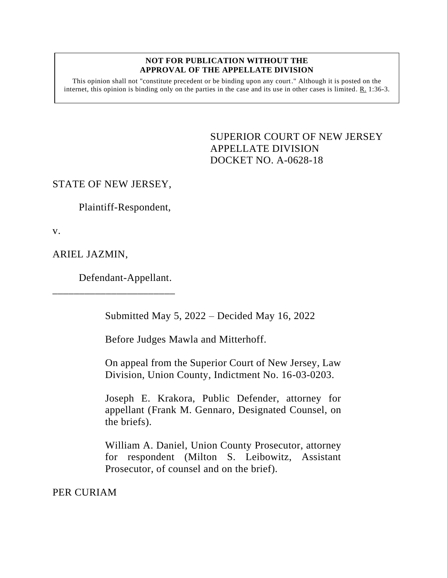## **NOT FOR PUBLICATION WITHOUT THE APPROVAL OF THE APPELLATE DIVISION**

This opinion shall not "constitute precedent or be binding upon any court." Although it is posted on the internet, this opinion is binding only on the parties in the case and its use in other cases is limited. R. 1:36-3.

> <span id="page-0-0"></span>SUPERIOR COURT OF NEW JERSEY APPELLATE DIVISION DOCKET NO. A-0628-18

## STATE OF NEW JERSEY,

Plaintiff-Respondent,

v.

ARIEL JAZMIN,

Defendant-Appellant.

\_\_\_\_\_\_\_\_\_\_\_\_\_\_\_\_\_\_\_\_\_\_\_

Submitted May 5, 2022 – Decided May 16, 2022

Before Judges Mawla and Mitterhoff.

On appeal from the Superior Court of New Jersey, Law Division, Union County, Indictment No. 16-03-0203.

Joseph E. Krakora, Public Defender, attorney for appellant (Frank M. Gennaro, Designated Counsel, on the briefs).

William A. Daniel, Union County Prosecutor, attorney for respondent (Milton S. Leibowitz, Assistant Prosecutor, of counsel and on the brief).

PER CURIAM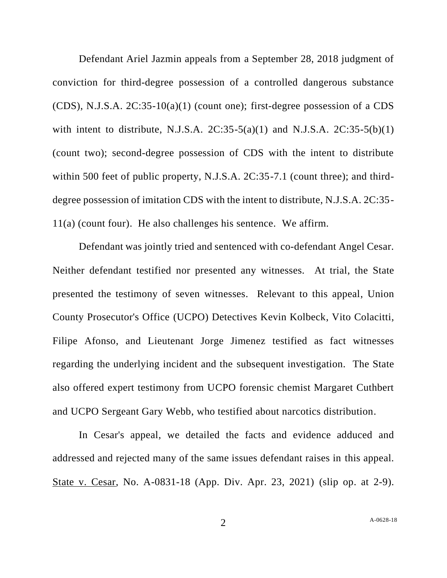Defendant Ariel Jazmin appeals from a September 28, 2018 judgment of conviction for third-degree possession of a controlled dangerous substance (CDS), N.J.S.A. 2C:35-10(a)(1) (count one); first-degree possession of a CDS with intent to distribute, N.J.S.A.  $2C:35-5(a)(1)$  and N.J.S.A.  $2C:35-5(b)(1)$ (count two); second-degree possession of CDS with the intent to distribute within 500 feet of public property, N.J.S.A. 2C:35-7.1 (count three); and thirddegree possession of imitation CDS with the intent to distribute, N.J.S.A. 2C:35- 11(a) (count four). He also challenges his sentence. We affirm.

Defendant was jointly tried and sentenced with co-defendant Angel Cesar. Neither defendant testified nor presented any witnesses. At trial, the State presented the testimony of seven witnesses. Relevant to this appeal, Union County Prosecutor's Office (UCPO) Detectives Kevin Kolbeck, Vito Colacitti, Filipe Afonso, and Lieutenant Jorge Jimenez testified as fact witnesses regarding the underlying incident and the subsequent investigation. The State also offered expert testimony from UCPO forensic chemist Margaret Cuthbert and UCPO Sergeant Gary Webb, who testified about narcotics distribution.

In Cesar's appeal, we detailed the facts and evidence adduced and addressed and rejected many of the same issues defendant raises in this appeal. State v. Cesar, No. A-0831-18 (App. Div. Apr. 23, 2021) (slip op. at 2-9).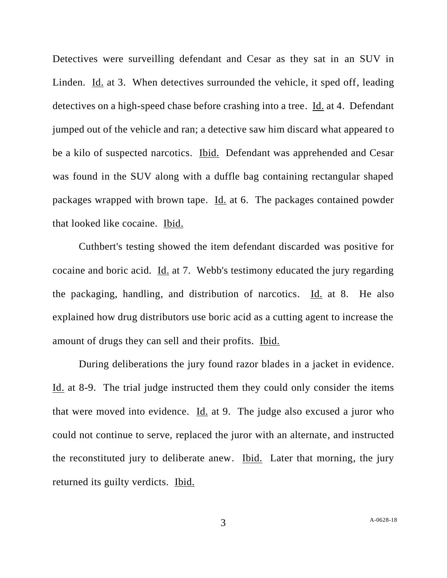Detectives were surveilling defendant and Cesar as they sat in an SUV in Linden. Id. at 3. When detectives surrounded the vehicle, it sped off, leading detectives on a high-speed chase before crashing into a tree. Id. at 4. Defendant jumped out of the vehicle and ran; a detective saw him discard what appeared to be a kilo of suspected narcotics. Ibid. Defendant was apprehended and Cesar was found in the SUV along with a duffle bag containing rectangular shaped packages wrapped with brown tape. Id. at 6. The packages contained powder that looked like cocaine. Ibid.

Cuthbert's testing showed the item defendant discarded was positive for cocaine and boric acid. Id. at 7. Webb's testimony educated the jury regarding the packaging, handling, and distribution of narcotics. Id. at 8. He also explained how drug distributors use boric acid as a cutting agent to increase the amount of drugs they can sell and their profits. Ibid.

During deliberations the jury found razor blades in a jacket in evidence. Id. at 8-9. The trial judge instructed them they could only consider the items that were moved into evidence. Id. at 9. The judge also excused a juror who could not continue to serve, replaced the juror with an alternate, and instructed the reconstituted jury to deliberate anew. Ibid. Later that morning, the jury returned its guilty verdicts. Ibid.

3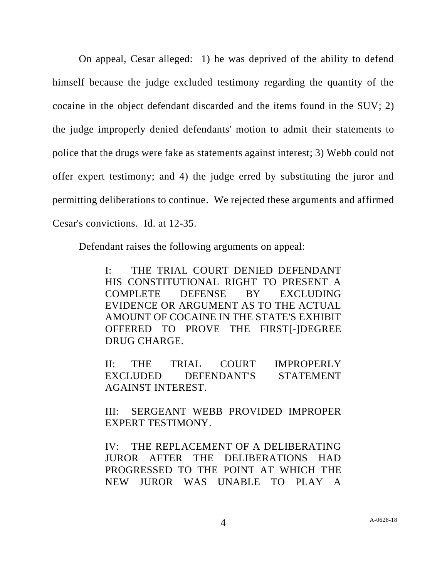On appeal, Cesar alleged: 1) he was deprived of the ability to defend himself because the judge excluded testimony regarding the quantity of the cocaine in the object defendant discarded and the items found in the SUV; 2) the judge improperly denied defendants' motion to admit their statements to police that the drugs were fake as statements against interest; 3) Webb could not offer expert testimony; and 4) the judge erred by substituting the juror and permitting deliberations to continue. We rejected these arguments and affirmed Cesar's convictions. Id. at 12-35.

Defendant raises the following arguments on appeal:

I: THE TRIAL COURT DENIED DEFENDANT HIS CONSTITUTIONAL RIGHT TO PRESENT A COMPLETE DEFENSE BY EXCLUDING EVIDENCE OR ARGUMENT AS TO THE ACTUAL AMOUNT OF COCAINE IN THE STATE'S EXHIBIT OFFERED TO PROVE THE FIRST[-]DEGREE DRUG CHARGE.

II: THE TRIAL COURT IMPROPERLY EXCLUDED DEFENDANT'S STATEMENT AGAINST INTEREST.

III: SERGEANT WEBB PROVIDED IMPROPER EXPERT TESTIMONY.

IV: THE REPLACEMENT OF A DELIBERATING JUROR AFTER THE DELIBERATIONS HAD PROGRESSED TO THE POINT AT WHICH THE NEW JUROR WAS UNABLE TO PLAY A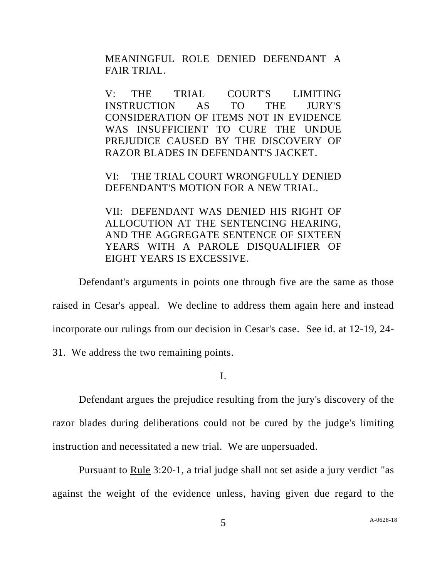MEANINGFUL ROLE DENIED DEFENDANT A FAIR TRIAL.

V: THE TRIAL COURT'S LIMITING INSTRUCTION AS TO THE JURY'S CONSIDERATION OF ITEMS NOT IN EVIDENCE WAS INSUFFICIENT TO CURE THE UNDUE PREJUDICE CAUSED BY THE DISCOVERY OF RAZOR BLADES IN DEFENDANT'S JACKET.

VI: THE TRIAL COURT WRONGFULLY DENIED DEFENDANT'S MOTION FOR A NEW TRIAL.

VII: DEFENDANT WAS DENIED HIS RIGHT OF ALLOCUTION AT THE SENTENCING HEARING, AND THE AGGREGATE SENTENCE OF SIXTEEN YEARS WITH A PAROLE DISQUALIFIER OF EIGHT YEARS IS EXCESSIVE.

Defendant's arguments in points one through five are the same as those raised in Cesar's appeal. We decline to address them again here and instead incorporate our rulings from our decision in Cesar's case. See id. at 12-19, 24-

31. We address the two remaining points.

I.

Defendant argues the prejudice resulting from the jury's discovery of the razor blades during deliberations could not be cured by the judge's limiting instruction and necessitated a new trial. We are unpersuaded.

Pursuant to Rule 3:20-1, a trial judge shall not set aside a jury verdict "as against the weight of the evidence unless, having given due regard to the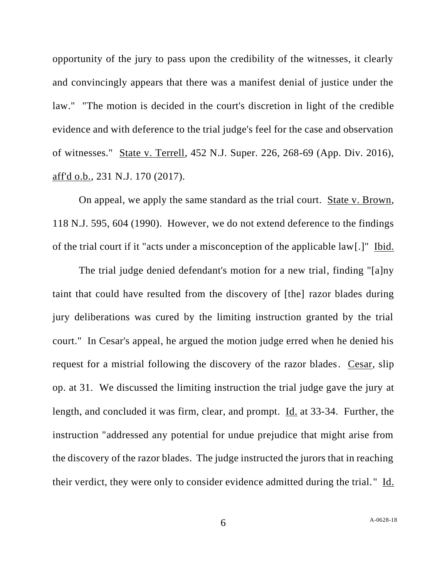opportunity of the jury to pass upon the credibility of the witnesses, it clearly and convincingly appears that there was a manifest denial of justice under the law." "The motion is decided in the court's discretion in light of the credible evidence and with deference to the trial judge's feel for the case and observation of witnesses." State v. Terrell, 452 N.J. Super. 226, 268-69 (App. Div. 2016), aff'd o.b., 231 N.J. 170 (2017).

On appeal, we apply the same standard as the trial court. State v. Brown, 118 N.J. 595, 604 (1990). However, we do not extend deference to the findings of the trial court if it "acts under a misconception of the applicable law[.]" Ibid.

The trial judge denied defendant's motion for a new trial, finding "[a]ny taint that could have resulted from the discovery of [the] razor blades during jury deliberations was cured by the limiting instruction granted by the trial court." In Cesar's appeal, he argued the motion judge erred when he denied his request for a mistrial following the discovery of the razor blades. Cesar, slip op. at 31. We discussed the limiting instruction the trial judge gave the jury at length, and concluded it was firm, clear, and prompt. Id. at 33-34. Further, the instruction "addressed any potential for undue prejudice that might arise from the discovery of the razor blades. The judge instructed the jurors that in reaching their verdict, they were only to consider evidence admitted during the trial." Id.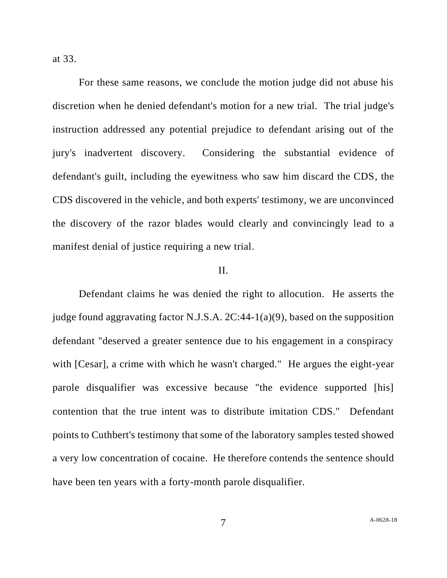at 33.

For these same reasons, we conclude the motion judge did not abuse his discretion when he denied defendant's motion for a new trial. The trial judge's instruction addressed any potential prejudice to defendant arising out of the jury's inadvertent discovery. Considering the substantial evidence of defendant's guilt, including the eyewitness who saw him discard the CDS, the CDS discovered in the vehicle, and both experts' testimony, we are unconvinced the discovery of the razor blades would clearly and convincingly lead to a manifest denial of justice requiring a new trial.

## II.

Defendant claims he was denied the right to allocution. He asserts the judge found aggravating factor N.J.S.A. 2C:44-1(a)(9), based on the supposition defendant "deserved a greater sentence due to his engagement in a conspiracy with [Cesar], a crime with which he wasn't charged." He argues the eight-year parole disqualifier was excessive because "the evidence supported [his] contention that the true intent was to distribute imitation CDS." Defendant points to Cuthbert's testimony that some of the laboratory samples tested showed a very low concentration of cocaine. He therefore contends the sentence should have been ten years with a forty-month parole disqualifier.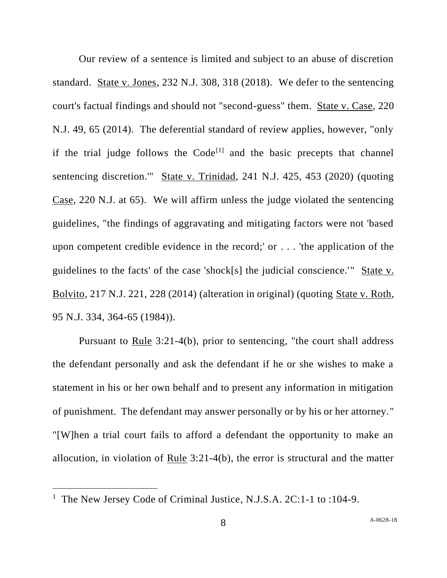Our review of a sentence is limited and subject to an abuse of discretion standard. State v. Jones, 232 N.J. 308, 318 (2018). We defer to the sentencing court's factual findings and should not "second-guess" them. State v. Case, 220 N.J. 49, 65 (2014). The deferential standard of review applies, however, "only if the trial judge follows the  $Code^{[1]}$  and the basic precepts that channel sentencing discretion.'" State v. Trinidad, 241 N.J. 425, 453 (2020) (quoting Case, 220 N.J. at 65). We will affirm unless the judge violated the sentencing guidelines, "the findings of aggravating and mitigating factors were not 'based upon competent credible evidence in the record;' or . . . 'the application of the guidelines to the facts' of the case 'shock[s] the judicial conscience.'" State v. Bolvito, 217 N.J. 221, 228 (2014) (alteration in original) (quoting State v. Roth, 95 N.J. 334, 364-65 (1984)).

Pursuant to Rule 3:21-4(b), prior to sentencing, "the court shall address the defendant personally and ask the defendant if he or she wishes to make a statement in his or her own behalf and to present any information in mitigation of punishment. The defendant may answer personally or by his or her attorney." "[W]hen a trial court fails to afford a defendant the opportunity to make an allocution, in violation of Rule 3:21-4(b), the error is structural and the matter

<sup>&</sup>lt;sup>1</sup> The New Jersey Code of Criminal Justice, N.J.S.A. 2C:1-1 to :104-9.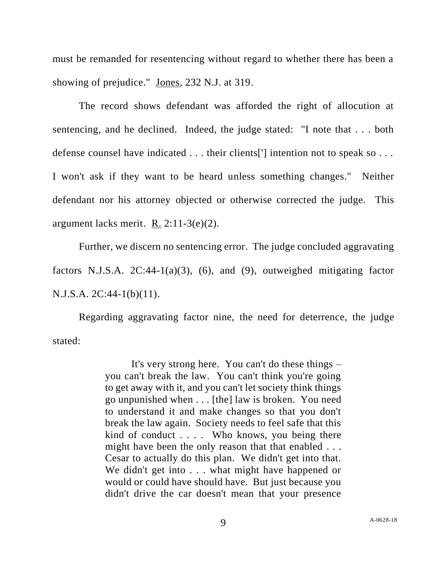must be remanded for resentencing without regard to whether there has been a showing of prejudice." Jones, 232 N.J. at 319.

The record shows defendant was afforded the right of allocution at sentencing, and he declined. Indeed, the judge stated: "I note that . . . both defense counsel have indicated . . . their clients<sup>[']</sup> intention not to speak so . . . I won't ask if they want to be heard unless something changes." Neither defendant nor his attorney objected or otherwise corrected the judge. This argument lacks merit. R. 2:11-3(e)(2).

Further, we discern no sentencing error. The judge concluded aggravating factors N.J.S.A.  $2C:44-1(a)(3)$ , (6), and (9), outweighed mitigating factor N.J.S.A. 2C:44-1(b)(11).

Regarding aggravating factor nine, the need for deterrence, the judge stated:

> It's very strong here. You can't do these things – you can't break the law. You can't think you're going to get away with it, and you can't let society think things go unpunished when . . . [the] law is broken. You need to understand it and make changes so that you don't break the law again. Society needs to feel safe that this kind of conduct . . . . Who knows, you being there might have been the only reason that that enabled . . . Cesar to actually do this plan. We didn't get into that. We didn't get into . . . what might have happened or would or could have should have. But just because you didn't drive the car doesn't mean that your presence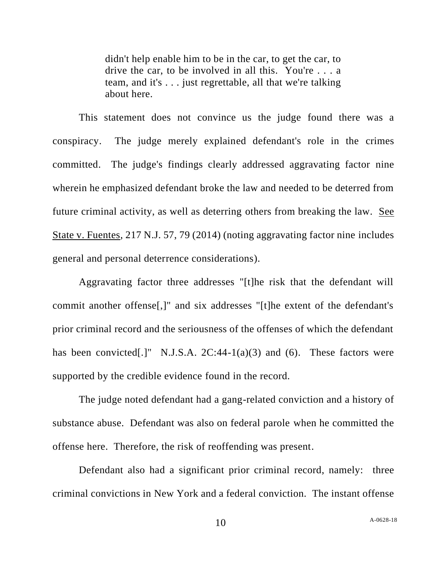didn't help enable him to be in the car, to get the car, to drive the car, to be involved in all this. You're . . . a team, and it's . . . just regrettable, all that we're talking about here.

This statement does not convince us the judge found there was a conspiracy. The judge merely explained defendant's role in the crimes committed. The judge's findings clearly addressed aggravating factor nine wherein he emphasized defendant broke the law and needed to be deterred from future criminal activity, as well as deterring others from breaking the law. See State v. Fuentes, 217 N.J. 57, 79 (2014) (noting aggravating factor nine includes general and personal deterrence considerations).

Aggravating factor three addresses "[t]he risk that the defendant will commit another offense[,]" and six addresses "[t]he extent of the defendant's prior criminal record and the seriousness of the offenses of which the defendant has been convicted[.]" N.J.S.A.  $2C:44-1(a)(3)$  and (6). These factors were supported by the credible evidence found in the record.

The judge noted defendant had a gang-related conviction and a history of substance abuse. Defendant was also on federal parole when he committed the offense here. Therefore, the risk of reoffending was present.

Defendant also had a significant prior criminal record, namely: three criminal convictions in New York and a federal conviction. The instant offense